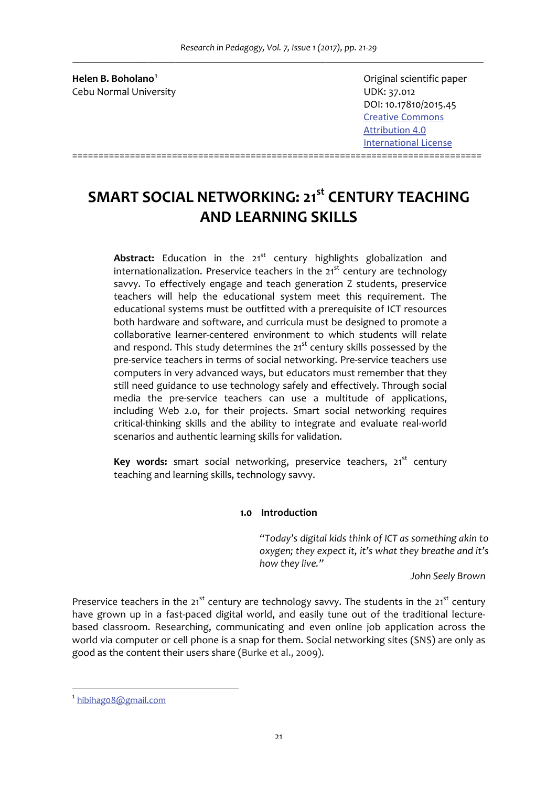*Research in Pedagogy, Vol. 7, Issue 1 (2017), pp. 21‐29 \_\_\_\_\_\_\_\_\_\_\_\_\_\_\_\_\_\_\_\_\_\_\_\_\_\_\_\_\_\_\_\_\_\_\_\_\_\_\_\_\_\_\_\_\_\_\_\_\_\_\_\_\_\_\_\_\_\_\_\_\_\_\_\_\_\_\_\_\_\_\_\_\_\_\_\_\_\_\_\_\_\_\_\_\_\_\_\_\_\_\_\_\_\_\_\_\_\_\_\_\_\_\_\_*

**Helen B. Boholano<sup>1</sup>** Cebu Normal University **Cebu Normal University UDK: 37.012** 

 Original scientific paper DOI: 10.17810/2015.45 Creative Commons  Attribution 4.0  International License

# **SMART SOCIAL NETWORKING: 21st CENTURY TEACHING AND LEARNING SKILLS**

==============================================================================

Abstract: Education in the 21<sup>st</sup> century highlights globalization and internationalization. Preservice teachers in the  $21<sup>st</sup>$  century are technology savvy. To effectively engage and teach generation Z students, preservice teachers will help the educational system meet this requirement. The educational systems must be outfitted with a prerequisite of ICT resources both hardware and software, and curricula must be designed to promote a collaborative learner‐centered environment to which students will relate and respond. This study determines the 21<sup>st</sup> century skills possessed by the pre‐service teachers in terms of social networking. Pre‐service teachers use computers in very advanced ways, but educators must remember that they still need guidance to use technology safely and effectively. Through social media the pre‐service teachers can use a multitude of applications, including Web 2.0, for their projects. Smart social networking requires critical‐thinking skills and the ability to integrate and evaluate real‐world scenarios and authentic learning skills for validation.

**Key words:** smart social networking, preservice teachers, 21<sup>st</sup> century teaching and learning skills, technology savvy.

## **1.0 Introduction**

*"Today's digital kids think of ICT as something akin to oxygen; they expect it, it's what they breathe and it's how they live."*

 *John Seely Brown*

Preservice teachers in the  $21^{st}$  century are technology savvy. The students in the  $21^{st}$  century have grown up in a fast-paced digital world, and easily tune out of the traditional lecturebased classroom. Researching, communicating and even online job application across the world via computer or cell phone is a snap for them. Social networking sites (SNS) are only as good as the content their users share (Burke et al., 2009).

<sup>1</sup> hibihag08@gmail.com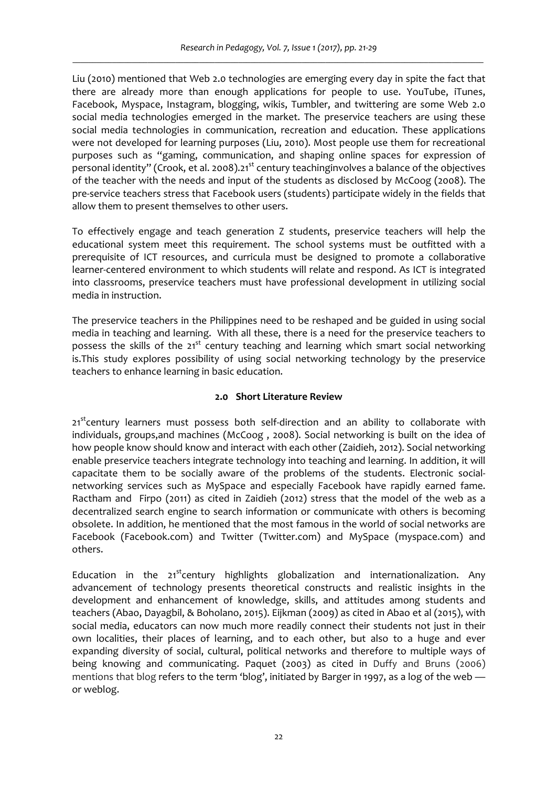Liu (2010) mentioned that Web 2.0 technologies are emerging every day in spite the fact that there are already more than enough applications for people to use. YouTube, iTunes, Facebook, Myspace, Instagram, blogging, wikis, Tumbler, and twittering are some Web 2.0 social media technologies emerged in the market. The preservice teachers are using these social media technologies in communication, recreation and education. These applications were not developed for learning purposes (Liu, 2010). Most people use them for recreational purposes such as "gaming, communication, and shaping online spaces for expression of personal identity" (Crook, et al. 2008).21<sup>st</sup> century teachinginvolves a balance of the objectives of the teacher with the needs and input of the students as disclosed by McCoog (2008). The pre‐service teachers stress that Facebook users (students) participate widely in the fields that allow them to present themselves to other users.

To effectively engage and teach generation Z students, preservice teachers will help the educational system meet this requirement. The school systems must be outfitted with a prerequisite of ICT resources, and curricula must be designed to promote a collaborative learner‐centered environment to which students will relate and respond. As ICT is integrated into classrooms, preservice teachers must have professional development in utilizing social media in instruction.

The preservice teachers in the Philippines need to be reshaped and be guided in using social media in teaching and learning. With all these, there is a need for the preservice teachers to possess the skills of the 21<sup>st</sup> century teaching and learning which smart social networking is.This study explores possibility of using social networking technology by the preservice teachers to enhance learning in basic education.

## **2.0 Short Literature Review**

 $21<sup>st</sup>$  century learners must possess both self-direction and an ability to collaborate with individuals, groups,and machines (McCoog , 2008). Social networking is built on the idea of how people know should know and interact with each other (Zaidieh, 2012). Social networking enable preservice teachers integrate technology into teaching and learning. In addition, it will capacitate them to be socially aware of the problems of the students. Electronic social‐ networking services such as MySpace and especially Facebook have rapidly earned fame. Ractham and Firpo (2011) as cited in Zaidieh (2012) stress that the model of the web as a decentralized search engine to search information or communicate with others is becoming obsolete. In addition, he mentioned that the most famous in the world of social networks are Facebook (Facebook.com) and Twitter (Twitter.com) and MySpace (myspace.com) and others.

Education in the  $21<sup>st</sup>$ century highlights globalization and internationalization. Any advancement of technology presents theoretical constructs and realistic insights in the development and enhancement of knowledge, skills, and attitudes among students and teachers (Abao, Dayagbil, & Boholano, 2015). Eijkman (2009) as cited in Abao et al (2015), with social media, educators can now much more readily connect their students not just in their own localities, their places of learning, and to each other, but also to a huge and ever expanding diversity of social, cultural, political networks and therefore to multiple ways of being knowing and communicating. Paquet (2003) as cited in Duffy and Bruns (2006) mentions that blog refers to the term 'blog', initiated by Barger in 1997, as a log of the web or weblog.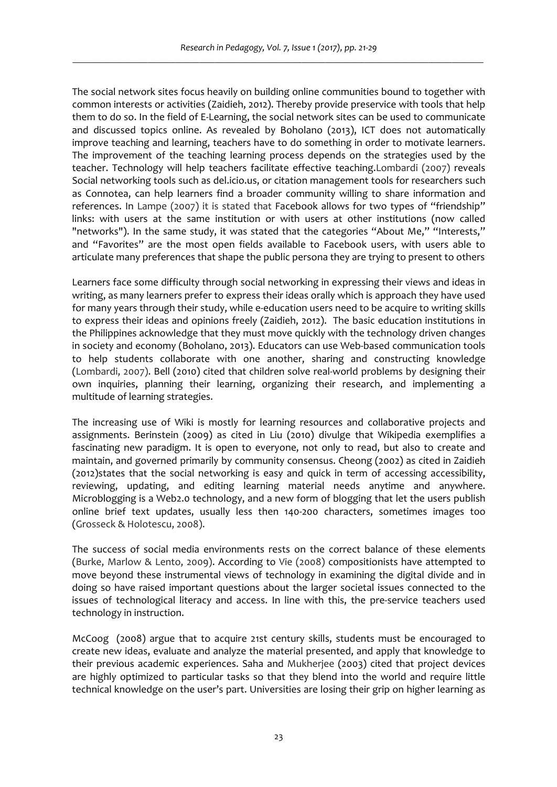The social network sites focus heavily on building online communities bound to together with common interests or activities (Zaidieh, 2012). Thereby provide preservice with tools that help them to do so. In the field of E‐Learning, the social network sites can be used to communicate and discussed topics online. As revealed by Boholano (2013), ICT does not automatically improve teaching and learning, teachers have to do something in order to motivate learners. The improvement of the teaching learning process depends on the strategies used by the teacher. Technology will help teachers facilitate effective teaching.Lombardi (2007) reveals Social networking tools such as del.icio.us, or citation management tools for researchers such as Connotea, can help learners find a broader community willing to share information and references. In Lampe (2007) it is stated that Facebook allows for two types of "friendship" links: with users at the same institution or with users at other institutions (now called "networks"). In the same study, it was stated that the categories "About Me," "Interests," and "Favorites" are the most open fields available to Facebook users, with users able to articulate many preferences that shape the public persona they are trying to present to others

Learners face some difficulty through social networking in expressing their views and ideas in writing, as many learners prefer to express their ideas orally which is approach they have used for many years through their study, while e-education users need to be acquire to writing skills to express their ideas and opinions freely (Zaidieh, 2012). The basic education institutions in the Philippines acknowledge that they must move quickly with the technology driven changes in society and economy (Boholano, 2013). Educators can use Web‐based communication tools to help students collaborate with one another, sharing and constructing knowledge (Lombardi, 2007). Bell (2010) cited that children solve real‐world problems by designing their own inquiries, planning their learning, organizing their research, and implementing a multitude of learning strategies.

The increasing use of Wiki is mostly for learning resources and collaborative projects and assignments. Berinstein (2009) as cited in Liu (2010) divulge that Wikipedia exemplifies a fascinating new paradigm. It is open to everyone, not only to read, but also to create and maintain, and governed primarily by community consensus. Cheong (2002) as cited in Zaidieh (2012)states that the social networking is easy and quick in term of accessing accessibility, reviewing, updating, and editing learning material needs anytime and anywhere. Microblogging is a Web2.0 technology, and a new form of blogging that let the users publish online brief text updates, usually less then 140‐200 characters, sometimes images too (Grosseck & Holotescu, 2008).

The success of social media environments rests on the correct balance of these elements (Burke, Marlow & Lento, 2009). According to Vie (2008) compositionists have attempted to move beyond these instrumental views of technology in examining the digital divide and in doing so have raised important questions about the larger societal issues connected to the issues of technological literacy and access. In line with this, the pre-service teachers used technology in instruction.

McCoog (2008) argue that to acquire 21st century skills, students must be encouraged to create new ideas, evaluate and analyze the material presented, and apply that knowledge to their previous academic experiences. Saha and Mukherjee (2003) cited that project devices are highly optimized to particular tasks so that they blend into the world and require little technical knowledge on the user's part. Universities are losing their grip on higher learning as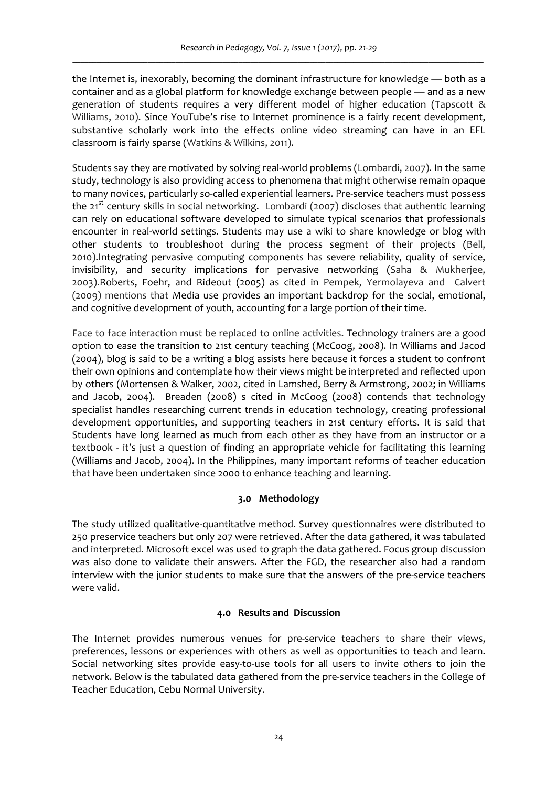the Internet is, inexorably, becoming the dominant infrastructure for knowledge — both as a container and as a global platform for knowledge exchange between people — and as a new generation of students requires a very different model of higher education (Tapscott & Williams, 2010). Since YouTube's rise to Internet prominence is a fairly recent development, substantive scholarly work into the effects online video streaming can have in an EFL classroom is fairly sparse (Watkins & Wilkins, 2011).

Students say they are motivated by solving real‐world problems (Lombardi, 2007). In the same study, technology is also providing access to phenomena that might otherwise remain opaque to many novices, particularly so‐called experiential learners. Pre‐service teachers must possess the  $21^{st}$  century skills in social networking. Lombardi (2007) discloses that authentic learning can rely on educational software developed to simulate typical scenarios that professionals encounter in real‐world settings. Students may use a wiki to share knowledge or blog with other students to troubleshoot during the process segment of their projects (Bell, 2010).Integrating pervasive computing components has severe reliability, quality of service, invisibility, and security implications for pervasive networking (Saha & Mukherjee, 2003).Roberts, Foehr, and Rideout (2005) as cited in Pempek, Yermolayeva and Calvert (2009) mentions that Media use provides an important backdrop for the social, emotional, and cognitive development of youth, accounting for a large portion of their time.

Face to face interaction must be replaced to online activities. Technology trainers are a good option to ease the transition to 21st century teaching (McCoog, 2008). In Williams and Jacod (2004), blog is said to be a writing a blog assists here because it forces a student to confront their own opinions and contemplate how their views might be interpreted and reflected upon by others (Mortensen & Walker, 2002, cited in Lamshed, Berry & Armstrong, 2002; in Williams and Jacob, 2004). Breaden (2008) s cited in McCoog (2008) contends that technology specialist handles researching current trends in education technology, creating professional development opportunities, and supporting teachers in 21st century efforts. It is said that Students have long learned as much from each other as they have from an instructor or a textbook - it's just a question of finding an appropriate vehicle for facilitating this learning (Williams and Jacob, 2004). In the Philippines, many important reforms of teacher education that have been undertaken since 2000 to enhance teaching and learning.

## **3.0 Methodology**

The study utilized qualitative‐quantitative method. Survey questionnaires were distributed to 250 preservice teachers but only 207 were retrieved. After the data gathered, it was tabulated and interpreted. Microsoft excel was used to graph the data gathered. Focus group discussion was also done to validate their answers. After the FGD, the researcher also had a random interview with the junior students to make sure that the answers of the pre-service teachers were valid.

#### **4.0 Results and Discussion**

The Internet provides numerous venues for pre-service teachers to share their views, preferences, lessons or experiences with others as well as opportunities to teach and learn. Social networking sites provide easy-to-use tools for all users to invite others to join the network. Below is the tabulated data gathered from the pre‐service teachers in the College of Teacher Education, Cebu Normal University.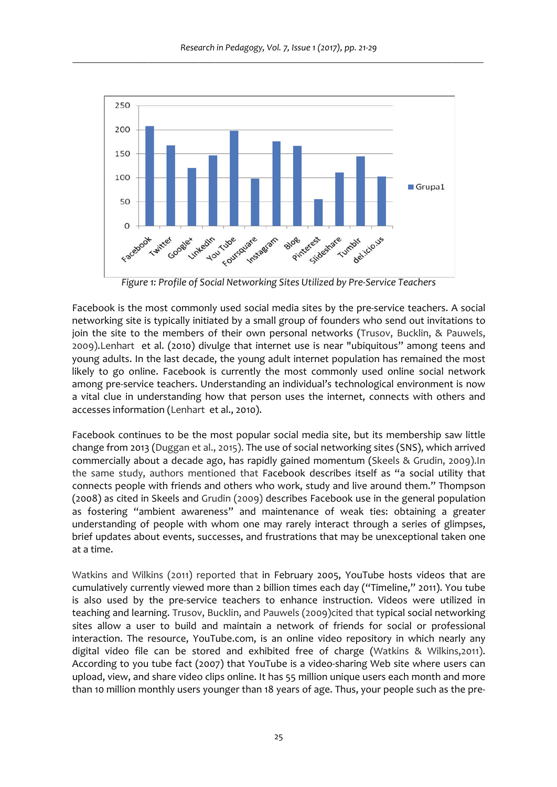

*Figure 1: Profile of Social Networking Sites Utilized by Pre‐Service Teachers*

Facebook is the most commonly used social media sites by the pre‐service teachers. A social networking site is typically initiated by a small group of founders who send out invitations to join the site to the members of their own personal networks (Trusov, Bucklin, & Pauwels, 2009).Lenhart et al. (2010) divulge that internet use is near "ubiquitous" among teens and young adults. In the last decade, the young adult internet population has remained the most likely to go online. Facebook is currently the most commonly used online social network among pre‐service teachers. Understanding an individual's technological environment is now a vital clue in understanding how that person uses the internet, connects with others and accesses information (Lenhart et al., 2010).

Facebook continues to be the most popular social media site, but its membership saw little change from 2013 (Duggan et al., 2015). The use of social networking sites (SNS), which arrived commercially about a decade ago, has rapidly gained momentum (Skeels & Grudin, 2009).In the same study, authors mentioned that Facebook describes itself as "a social utility that connects people with friends and others who work, study and live around them." Thompson (2008) as cited in Skeels and Grudin (2009) describes Facebook use in the general population as fostering "ambient awareness" and maintenance of weak ties: obtaining a greater understanding of people with whom one may rarely interact through a series of glimpses, brief updates about events, successes, and frustrations that may be unexceptional taken one at a time.

Watkins and Wilkins (2011) reported that in February 2005, YouTube hosts videos that are cumulatively currently viewed more than 2 billion times each day ("Timeline," 2011). You tube is also used by the pre‐service teachers to enhance instruction. Videos were utilized in teaching and learning. Trusov, Bucklin, and Pauwels (2009)cited that typical social networking sites allow a user to build and maintain a network of friends for social or professional interaction. The resource, YouTube.com, is an online video repository in which nearly any digital video file can be stored and exhibited free of charge (Watkins & Wilkins,2011). According to you tube fact (2007) that YouTube is a video‐sharing Web site where users can upload, view, and share video clips online. It has 55 million unique users each month and more than 10 million monthly users younger than 18 years of age. Thus, your people such as the pre‐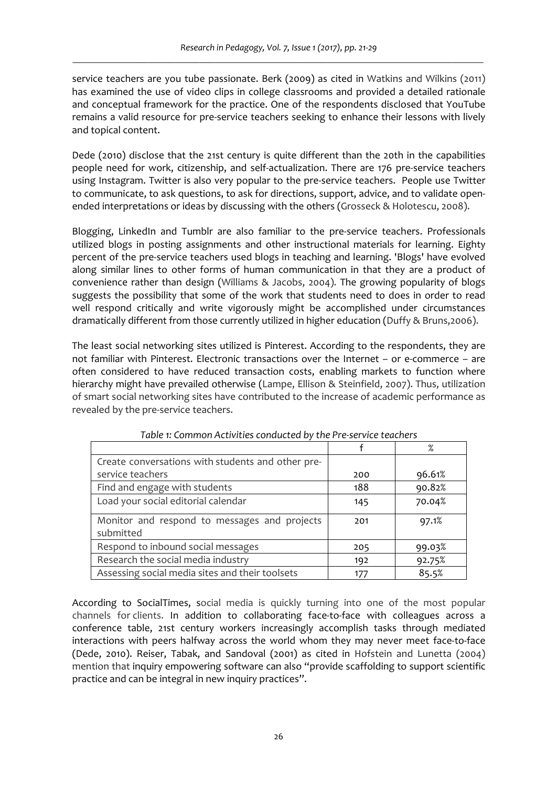service teachers are you tube passionate. Berk (2009) as cited in Watkins and Wilkins (2011) has examined the use of video clips in college classrooms and provided a detailed rationale and conceptual framework for the practice. One of the respondents disclosed that YouTube remains a valid resource for pre‐service teachers seeking to enhance their lessons with lively and topical content.

Dede (2010) disclose that the 21st century is quite different than the 20th in the capabilities people need for work, citizenship, and self-actualization. There are 176 pre-service teachers using Instagram. Twitter is also very popular to the pre‐service teachers. People use Twitter to communicate, to ask questions, to ask for directions, support, advice, and to validate open‐ ended interpretations or ideas by discussing with the others (Grosseck & Holotescu, 2008).

Blogging, LinkedIn and Tumblr are also familiar to the pre-service teachers. Professionals utilized blogs in posting assignments and other instructional materials for learning. Eighty percent of the pre‐service teachers used blogs in teaching and learning. 'Blogs' have evolved along similar lines to other forms of human communication in that they are a product of convenience rather than design (Williams & Jacobs, 2004). The growing popularity of blogs suggests the possibility that some of the work that students need to does in order to read well respond critically and write vigorously might be accomplished under circumstances dramatically different from those currently utilized in higher education (Duffy & Bruns,2006).

The least social networking sites utilized is Pinterest. According to the respondents, they are not familiar with Pinterest. Electronic transactions over the Internet – or e‐commerce – are often considered to have reduced transaction costs, enabling markets to function where hierarchy might have prevailed otherwise (Lampe, Ellison & Steinfield, 2007). Thus, utilization of smart social networking sites have contributed to the increase of academic performance as revealed by the pre‐service teachers.

|                                                           |     | $\%$   |
|-----------------------------------------------------------|-----|--------|
| Create conversations with students and other pre-         |     |        |
| service teachers                                          | 200 | 96.61% |
| Find and engage with students                             | 188 | 90.82% |
| Load your social editorial calendar                       | 145 | 70.04% |
| Monitor and respond to messages and projects<br>submitted | 201 | 97.1%  |
| Respond to inbound social messages                        | 205 | 99.03% |
| Research the social media industry                        | 192 | 92.75% |
| Assessing social media sites and their toolsets           | 177 | 85.5%  |

*Table 1: Common Activities conducted by the Pre‐service teachers*

According to SocialTimes, social media is quickly turning into one of the most popular channels for clients. In addition to collaborating face‐to‐face with colleagues across a conference table, 21st century workers increasingly accomplish tasks through mediated interactions with peers halfway across the world whom they may never meet face‐to‐face (Dede, 2010). Reiser, Tabak, and Sandoval (2001) as cited in Hofstein and Lunetta (2004) mention that inquiry empowering software can also "provide scaffolding to support scientific practice and can be integral in new inquiry practices".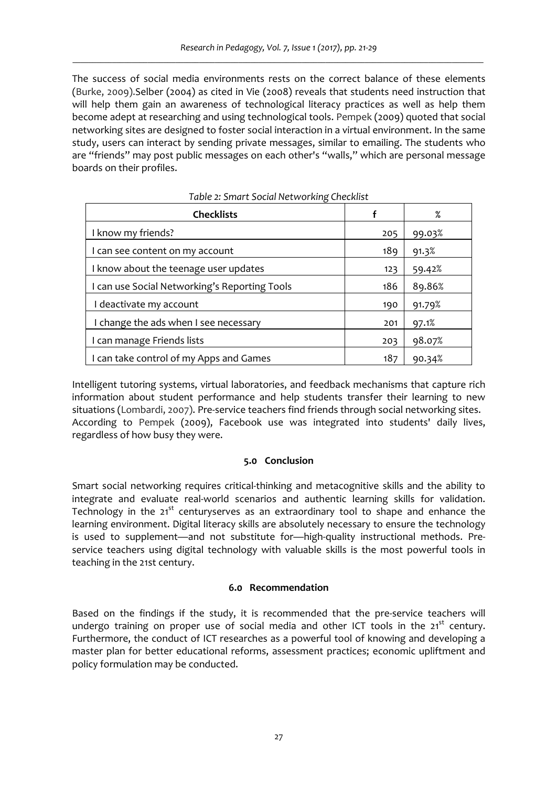The success of social media environments rests on the correct balance of these elements (Burke, 2009).Selber (2004) as cited in Vie (2008) reveals that students need instruction that will help them gain an awareness of technological literacy practices as well as help them become adept at researching and using technological tools. Pempek (2009) quoted that social networking sites are designed to foster social interaction in a virtual environment. In the same study, users can interact by sending private messages, similar to emailing. The students who are "friends" may post public messages on each other's "walls," which are personal message boards on their profiles.

| <b>Checklists</b>                             |     | %      |  |
|-----------------------------------------------|-----|--------|--|
| I know my friends?                            | 205 | 99.03% |  |
| I can see content on my account               | 189 | 91.3%  |  |
| I know about the teenage user updates         | 123 | 59.42% |  |
| I can use Social Networking's Reporting Tools | 186 | 89.86% |  |
| I deactivate my account                       | 190 | 91.79% |  |
| I change the ads when I see necessary         | 201 | 97.1%  |  |
| I can manage Friends lists                    | 203 | 98.07% |  |
| I can take control of my Apps and Games       | 187 | 90.34% |  |

Intelligent tutoring systems, virtual laboratories, and feedback mechanisms that capture rich information about student performance and help students transfer their learning to new situations (Lombardi, 2007). Pre‐service teachers find friends through social networking sites. According to Pempek (2009), Facebook use was integrated into students' daily lives, regardless of how busy they were.

## **5.0 Conclusion**

Smart social networking requires critical-thinking and metacognitive skills and the ability to integrate and evaluate real‐world scenarios and authentic learning skills for validation. Technology in the  $21^{st}$  centuryserves as an extraordinary tool to shape and enhance the learning environment. Digital literacy skills are absolutely necessary to ensure the technology is used to supplement—and not substitute for—high-quality instructional methods. Preservice teachers using digital technology with valuable skills is the most powerful tools in teaching in the 21st century.

## **6.0 Recommendation**

Based on the findings if the study, it is recommended that the pre‐service teachers will undergo training on proper use of social media and other ICT tools in the  $21^{st}$  century. Furthermore, the conduct of ICT researches as a powerful tool of knowing and developing a master plan for better educational reforms, assessment practices; economic upliftment and policy formulation may be conducted.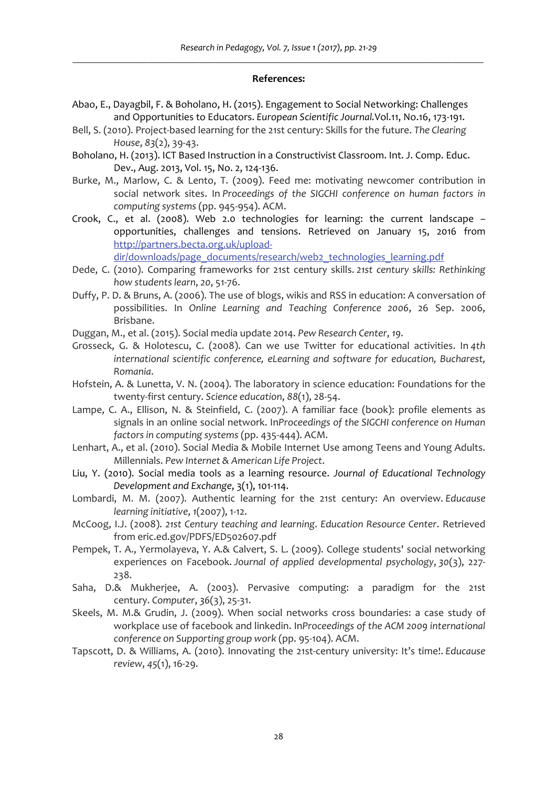### **References:**

- Abao, E., Dayagbil, F. & Boholano, H. (2015). Engagement to Social Networking: Challenges and [Opportunities](http://partners.becta.org.uk/upload-dir/downloads/page_documents/research/web2_technologies_learning.pdf) to Educators. *European Scientific Journal.*Vol.11, No.16, 173‐191.
- Bell, S. (2010). Project‐based learning for the 21st [century:](http://partners.becta.org.uk/upload-dir/downloads/page_documents/research/web2_technologies_learning.pdf) Skills for the future. *The Clearing House*, *83*(2), 39‐43.
- Boholano, H. (2013). ICT Based Instruction in a Constructivist Classroom. Int. J. Comp. Educ. Dev., Aug. 2013, Vol. 15, No. 2, 124‐136.
- Burke, M., Marlow, C. & Lento, T. (2009). Feed me: motivating newcomer contribution in social network sites. In *Proceedings of the SIGCHI conference on human factors in computing systems* (pp. 945‐954). ACM.
- Crook, C., et al. (2008). Web 2.0 technologies for learning: the current landscape opportunities, challenges and tensions. Retrieved on January 15, 2016 from http://partners.becta.org.uk/upload‐

dir/downloads/page\_documents/research/web2\_technologies\_learning.pdf

- Dede, C. (2010). Comparing frameworks for 21st century skills. *21st century skills: Rethinking how students learn*, *20*, 51‐76.
- Duffy, P. D. & Bruns, A. (2006). The use of blogs, wikis and RSS in education: A conversation of possibilities. In *Online Learning and Teaching Conference 2006*, 26 Sep. 2006, Brisbane.
- Duggan, M., et al. (2015). Social media update 2014. *Pew Research Center*, *19*.
- Grosseck, G. & Holotescu, C. (2008). Can we use Twitter for educational activities. In *4th international scientific conference, eLearning and software for education, Bucharest, Romania*.
- Hofstein, A. & Lunetta, V. N. (2004). The laboratory in science education: Foundations for the twenty‐first century. *Science education*, *88*(1), 28‐54.
- Lampe, C. A., Ellison, N. & Steinfield, C. (2007). A familiar face (book): profile elements as signals in an online social network. In*Proceedings of the SIGCHI conference on Human factors in computing systems* (pp. 435‐444). ACM.
- Lenhart, A., et al. (2010). Social Media & Mobile Internet Use among Teens and Young Adults. Millennials. *Pew Internet & American Life Project*.
- Liu, Y. (2010). Social media tools as a learning resource. *Journal of Educational Technology Development and Exchange*, 3(1), 101‐114.
- Lombardi, M. M. (2007). Authentic learning for the 21st century: An overview. *Educause learning initiative*, *1*(2007), 1‐12.
- McCoog, I.J. (2008). *21st Century teaching and learning*. *Education Resource Center*. Retrieved from eric.ed.gov/PDFS/ED502607.pdf
- Pempek, T. A., Yermolayeva, Y. A.& Calvert, S. L. (2009). College students' social networking experiences on Facebook. *Journal of applied developmental psychology*, *30*(3), 227‐ 238.
- Saha, D.& Mukherjee, A. (2003). Pervasive computing: a paradigm for the 21st century. *Computer*, *36*(3), 25‐31.
- Skeels, M. M.& Grudin, J. (2009). When social networks cross boundaries: a case study of workplace use of facebook and linkedin. In*Proceedings of the ACM 2009 international conference on Supporting group work* (pp. 95‐104). ACM.
- Tapscott, D. & Williams, A. (2010). Innovating the 21st‐century university: It's time!. *Educause review*, *45*(1), 16‐29.